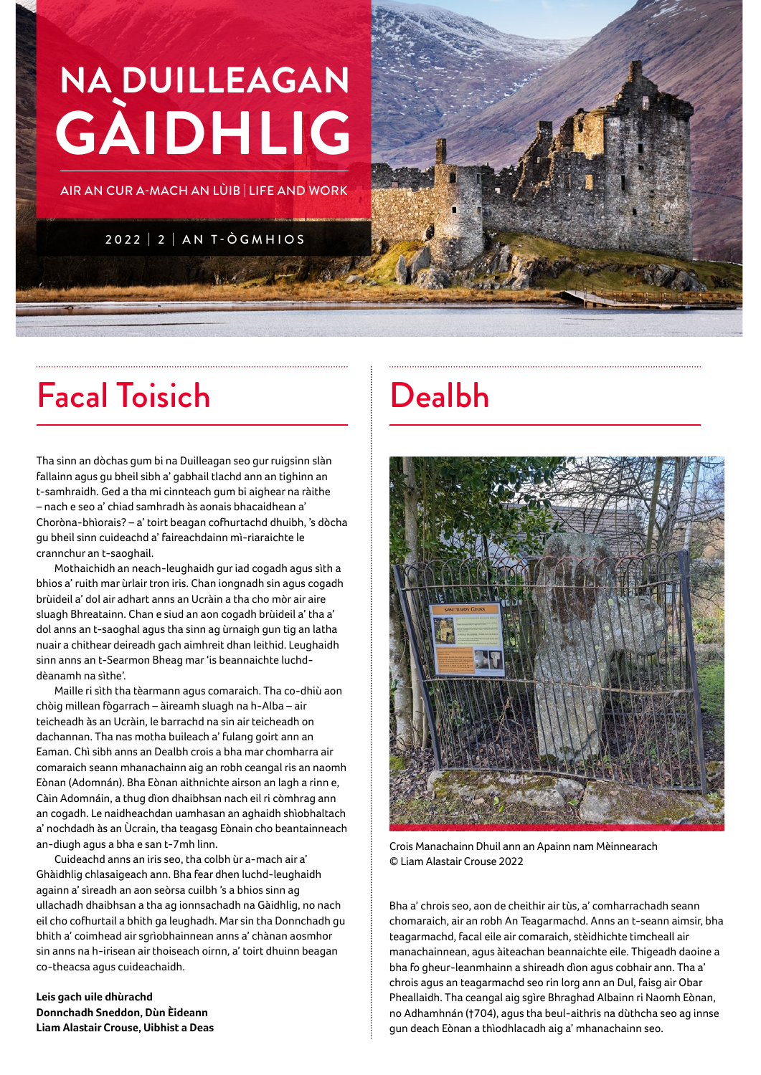# **NA DUILLEAGAN GÀIDHLIG**

AIR AN CUR A-MACH AN LÙIB | LIFE AND WORK

2022 | 2 | AN T-ÒGMHIOS

### Facal Toisich Dealbh

Tha sinn an dòchas gum bi na Duilleagan seo gur ruigsinn slàn fallainn agus gu bheil sibh a' gabhail tlachd ann an tighinn an t-samhraidh. Ged a tha mi cinnteach gum bi aighear na ràithe – nach e seo a' chiad samhradh às aonais bhacaidhean a' Choròna-bhìorais? – a' toirt beagan cofhurtachd dhuibh, 's dòcha gu bheil sinn cuideachd a' faireachdainn mì-riaraichte le crannchur an t-saoghail.

Mothaichidh an neach-leughaidh gur iad cogadh agus sìth a bhios a' ruith mar ùrlair tron iris. Chan iongnadh sin agus cogadh brùideil a' dol air adhart anns an Ucràin a tha cho mòr air aire sluagh Bhreatainn. Chan e siud an aon cogadh brùideil a' tha a' dol anns an t-saoghal agus tha sinn ag ùrnaigh gun tig an latha nuair a chithear deireadh gach aimhreit dhan leithid. Leughaidh sinn anns an t-Searmon Bheag mar 'is beannaichte luchddèanamh na sìthe'.

Maille ri sìth tha tèarmann agus comaraich. Tha co-dhiù aon chòig millean fògarrach – àireamh sluagh na h-Alba – air teicheadh às an Ucràin, le barrachd na sin air teicheadh on dachannan. Tha nas motha buileach a' fulang goirt ann an Eaman. Chì sibh anns an Dealbh crois a bha mar chomharra air comaraich seann mhanachainn aig an robh ceangal ris an naomh Eònan (Adomnán). Bha Eònan aithnichte airson an lagh a rinn e, Càin Adomnáin, a thug dìon dhaibhsan nach eil ri còmhrag ann an cogadh. Le naidheachdan uamhasan an aghaidh shìobhaltach a' nochdadh às an Ùcrain, tha teagasg Eònain cho beantainneach an-diugh agus a bha e san t-7mh linn.

Cuideachd anns an iris seo, tha colbh ùr a-mach air a' Ghàidhlig chlasaigeach ann. Bha fear dhen luchd-leughaidh againn a' sìreadh an aon seòrsa cuilbh 's a bhios sinn ag ullachadh dhaibhsan a tha ag ionnsachadh na Gàidhlig, no nach eil cho cofhurtail a bhith ga leughadh. Mar sin tha Donnchadh gu bhith a' coimhead air sgrìobhainnean anns a' chànan aosmhor sin anns na h-irisean air thoiseach oirnn, a' toirt dhuinn beagan co-theacsa agus cuideachaidh.

**Leis gach uile dhùrachd Donnchadh Sneddon, Dùn Èideann Liam Alastair Crouse, Uibhist a Deas**



Crois Manachainn Dhuil ann an Apainn nam Mèinnearach © Liam Alastair Crouse 2022

Bha a' chrois seo, aon de cheithir air tùs, a' comharrachadh seann chomaraich, air an robh An Teagarmachd. Anns an t-seann aimsir, bha teagarmachd, facal eile air comaraich, stèidhichte timcheall air manachainnean, agus àiteachan beannaichte eile. Thigeadh daoine a bha fo gheur-leanmhainn a shireadh dìon agus cobhair ann. Tha a' chrois agus an teagarmachd seo rin lorg ann an Dul, faisg air Obar Pheallaidh. Tha ceangal aig sgìre Bhraghad Albainn ri Naomh Eònan, no Adhamhnán (†704), agus tha beul-aithris na dùthcha seo ag innse gun deach Eònan a thìodhlacadh aig a' mhanachainn seo.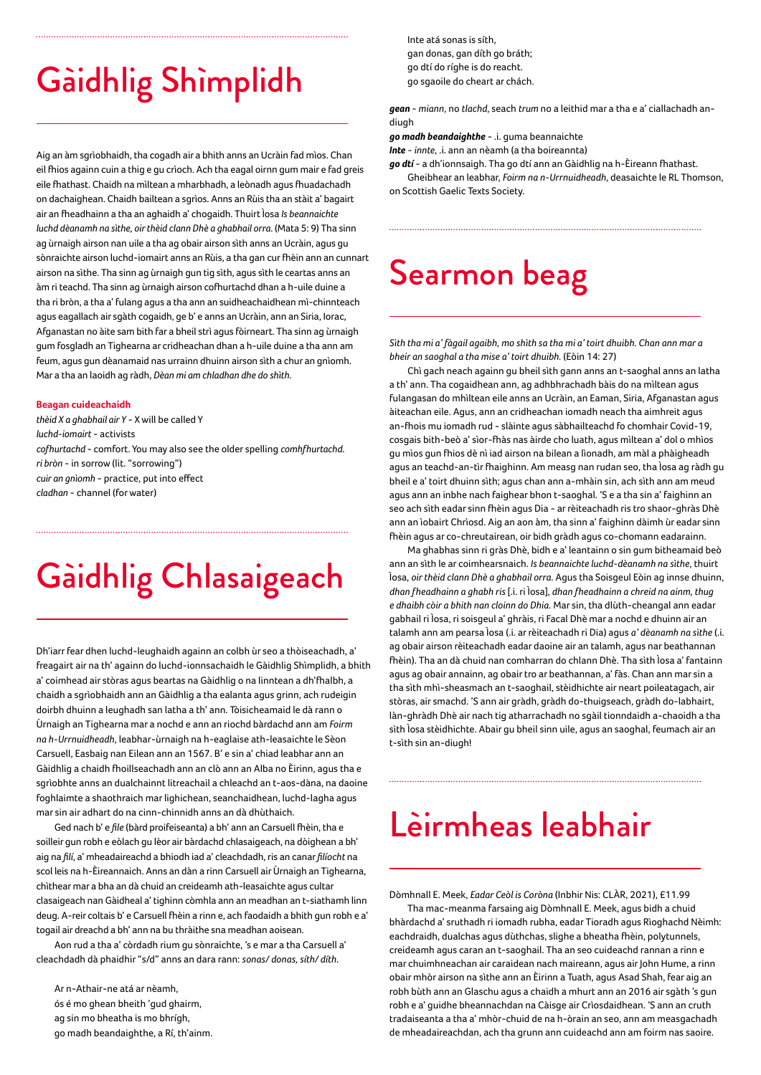## Gàidhlig Shìmplidh

Aig an àm sgrìobhaidh, tha cogadh air a bhith anns an Ucràin fad mìos. Chan eil fhios againn cuin a thig e gu crìoch. Ach tha eagal oirnn gum mair e fad greis eile fhathast. Chaidh na mìltean a mharbhadh, a leònadh agus fhuadachadh on dachaighean. Chaidh bailtean a sgrìos. Anns an Rùis tha an stàit a' bagairt air an fheadhainn a tha an aghaidh a' chogaidh. Thuirt Ìosa *Is beannaichte luchd dèanamh na sìthe, oir thèid clann Dhè a ghabhail orra*. (Mata 5: 9) Tha sinn ag ùrnaigh airson nan uile a tha ag obair airson sìth anns an Ucràin, agus gu sònraichte airson luchd-iomairt anns an Rùis, a tha gan cur fhèin ann an cunnart airson na sìthe. Tha sinn ag ùrnaigh gun tig sìth, agus sìth le ceartas anns an àm ri teachd. Tha sinn ag ùrnaigh airson cofhurtachd dhan a h-uile duine a tha ri bròn, a tha a' fulang agus a tha ann an suidheachaidhean mì-chinnteach agus eagallach air sgàth cogaidh, ge b' e anns an Ucràin, ann an Siria, Iorac, Afganastan no àite sam bith far a bheil strì agus fòirneart. Tha sinn ag ùrnaigh gum fosgladh an Tighearna ar cridheachan dhan a h-uile duine a tha ann am feum, agus gun dèanamaid nas urrainn dhuinn airson sìth a chur an gnìomh. Mar a tha an laoidh ag ràdh, *Dèan mi am chladhan dhe do shìth*.

#### **Beagan cuideachaidh**

*thèid X a ghabhail air Y* - X will be called Y *luchd-iomairt* - activists *cofhurtachd* - comfort. You may also see the older spelling *comhfhurtachd*. *ri bròn* - in sorrow (lit. "sorrowing") *cuir an gnìomh* - practice, put into effect *cladhan* - channel (for water)

## Gàidhlig Chlasaigeach

Dh'iarr fear dhen luchd-leughaidh againn an colbh ùr seo a thòiseachadh, a' freagairt air na th' againn do luchd-ionnsachaidh le Gàidhlig Shìmplidh, a bhith a' coimhead air stòras agus beartas na Gàidhlig o na linntean a dh'fhalbh, a chaidh a sgrìobhaidh ann an Gàidhlig a tha ealanta agus grinn, ach rudeigin doirbh dhuinn a leughadh san latha a th' ann. Tòisicheamaid le dà rann o Ùrnaigh an Tighearna mar a nochd e ann an riochd bàrdachd ann am *Foirm na h-Urrnuidheadh*, leabhar-ùrnaigh na h-eaglaise ath-leasaichte le Sèon Carsuell, Easbaig nan Eilean ann an 1567. B' e sin a' chiad leabhar ann an Gàidhlig a chaidh fhoillseachadh ann an clò ann an Alba no Èirinn, agus tha e sgrìobhte anns an dualchainnt litreachail a chleachd an t-aos-dàna, na daoine foghlaimte a shaothraich mar lighichean, seanchaidhean, luchd-lagha agus mar sin air adhart do na cinn-chinnidh anns an dà dhùthaich.

Ged nach b' e *file* (bàrd proifeiseanta) a bh' ann an Carsuell fhèin, tha e soilleir gun robh e eòlach gu lèor air bàrdachd chlasaigeach, na dòighean a bh' aig na *filí*, a' mheadaireachd a bhiodh iad a' cleachdadh, ris an canar *filíocht* na scol leis na h-Èireannaich. Anns an dàn a rinn Carsuell air Ùrnaigh an Tighearna, chìthear mar a bha an dà chuid an creideamh ath-leasaichte agus cultar clasaigeach nan Gàidheal a' tighinn còmhla ann an meadhan an t-siathamh linn deug. A-reir coltais b' e Carsuell fhèin a rinn e, ach faodaidh a bhith gun robh e a' togail air dreachd a bh' ann na bu thràithe sna meadhan aoisean.

Aon rud a tha a' còrdadh rium gu sònraichte, 's e mar a tha Carsuell a' cleachdadh dà phaidhir "s/d" anns an dara rann: *sonas/ donas, síth/ díth*.

 Ar n-Athair-ne atá ar nèamh, ós é mo ghean bheith 'gud ghairm, ag sin mo bheatha is mo bhrígh, go madh beandaighthe, a Rí, th'ainm. Inte atá sonas is síth, gan donas, gan díth go bráth; go dtí do ríghe is do reacht. go sgaoile do cheart ar chách.

*gean* - *miann*, no *tlachd*, seach *trum* no a leithid mar a tha e a' ciallachadh andiugh

*go madh beandaighthe* - .i. guma beannaichte

*Inte* - *innte*, .i. ann an nèamh (a tha boireannta)

*go dtí* - a dh'ionnsaigh. Tha go dtí ann an Gàidhlig na h-Èireann fhathast. Gheibhear an leabhar, *Foirm na n-Urrnuidheadh*, deasaichte le RL Thomson, on Scottish Gaelic Texts Society.

### Searmon beag

*Sìth tha mi a' fàgail agaibh, mo shìth sa tha mi a' toirt dhuibh. Chan ann mar a bheir an saoghal a tha mise a' toirt dhuibh.* (Eòin 14: 27)

Chì gach neach againn gu bheil sìth gann anns an t-saoghal anns an latha a th' ann. Tha cogaidhean ann, ag adhbhrachadh bàis do na mìltean agus fulangasan do mhìltean eile anns an Ucràin, an Eaman, Siria, Afganastan agus àiteachan eile. Agus, ann an cridheachan iomadh neach tha aimhreit agus an-fhois mu iomadh rud - slàinte agus sàbhailteachd fo chomhair Covid-19, cosgais bith-beò a' sìor-fhàs nas àirde cho luath, agus mìltean a' dol o mhìos gu mìos gun fhios dè nì iad airson na bilean a lìonadh, am màl a phàigheadh agus an teachd-an-tìr fhaighinn. Am measg nan rudan seo, tha Ìosa ag ràdh gu bheil e a' toirt dhuinn sìth; agus chan ann a-mhàin sin, ach sìth ann am meud agus ann an inbhe nach faighear bhon t-saoghal. 'S e a tha sin a' faighinn an seo ach sìth eadar sinn fhèin agus Dia - ar rèiteachadh ris tro shaor-ghràs Dhè ann an ìobairt Chrìosd. Aig an aon àm, tha sinn a' faighinn dàimh ùr eadar sinn fhèin agus ar co-chreutairean, oir bidh gràdh agus co-chomann eadarainn.

Ma ghabhas sinn ri gràs Dhè, bidh e a' leantainn o sin gum bitheamaid beò ann an sìth le ar coimhearsnaich. *Is beannaichte luchd-dèanamh na sìthe*, thuirt Ìosa, *oir thèid clann Dhè a ghabhail orra*. Agus tha Soisgeul Eòin ag innse dhuinn, *dhan fheadhainn a ghabh ris* [.i. ri Ìosa], *dhan fheadhainn a chreid na ainm, thug e dhaibh còir a bhith nan cloinn do Dhia*. Mar sin, tha dlùth-cheangal ann eadar gabhail ri Ìosa, ri soisgeul a' ghràis, ri Facal Dhè mar a nochd e dhuinn air an talamh ann am pearsa Ìosa (.i. ar rèiteachadh ri Dia) agus *a' dèanamh na sìthe* (.i. ag obair airson rèiteachadh eadar daoine air an talamh, agus nar beathannan fhèin). Tha an dà chuid nan comharran do chlann Dhè. Tha sìth Ìosa a' fantainn agus ag obair annainn, ag obair tro ar beathannan, a' fàs. Chan ann mar sin a tha sìth mhì-sheasmach an t-saoghail, stèidhichte air neart poileatagach, air stòras, air smachd. 'S ann air gràdh, gràdh do-thuigseach, gràdh do-labhairt, làn-ghràdh Dhè air nach tig atharrachadh no sgàil tionndaidh a-chaoidh a tha sìth Ìosa stèidhichte. Abair gu bheil sinn uile, agus an saoghal, feumach air an t-sìth sin an-diugh!

### Lèirmheas leabhair

Dòmhnall E. Meek, *Eadar Ceòl is Coròna* (Inbhir Nis: CLÀR, 2021), £11.99 Tha mac-meanma farsaing aig Dòmhnall E. Meek, agus bidh a chuid bhàrdachd a' sruthadh ri iomadh rubha, eadar Tioradh agus Rìoghachd Nèimh: eachdraidh, dualchas agus dùthchas, slighe a bheatha fhèin, polytunnels, creideamh agus caran an t-saoghail. Tha an seo cuideachd rannan a rinn e mar chuimhneachan air caraidean nach maireann, agus air John Hume, a rinn obair mhòr airson na sìthe ann an Èirinn a Tuath, agus Asad Shah, fear aig an robh bùth ann an Glaschu agus a chaidh a mhurt ann an 2016 air sgàth 's gun robh e a' guidhe bheannachdan na Càisge air Crìosdaidhean. 'S ann an cruth tradaiseanta a tha a' mhòr-chuid de na h-òrain an seo, ann am measgachadh de mheadaireachdan, ach tha grunn ann cuideachd ann am foirm nas saoire.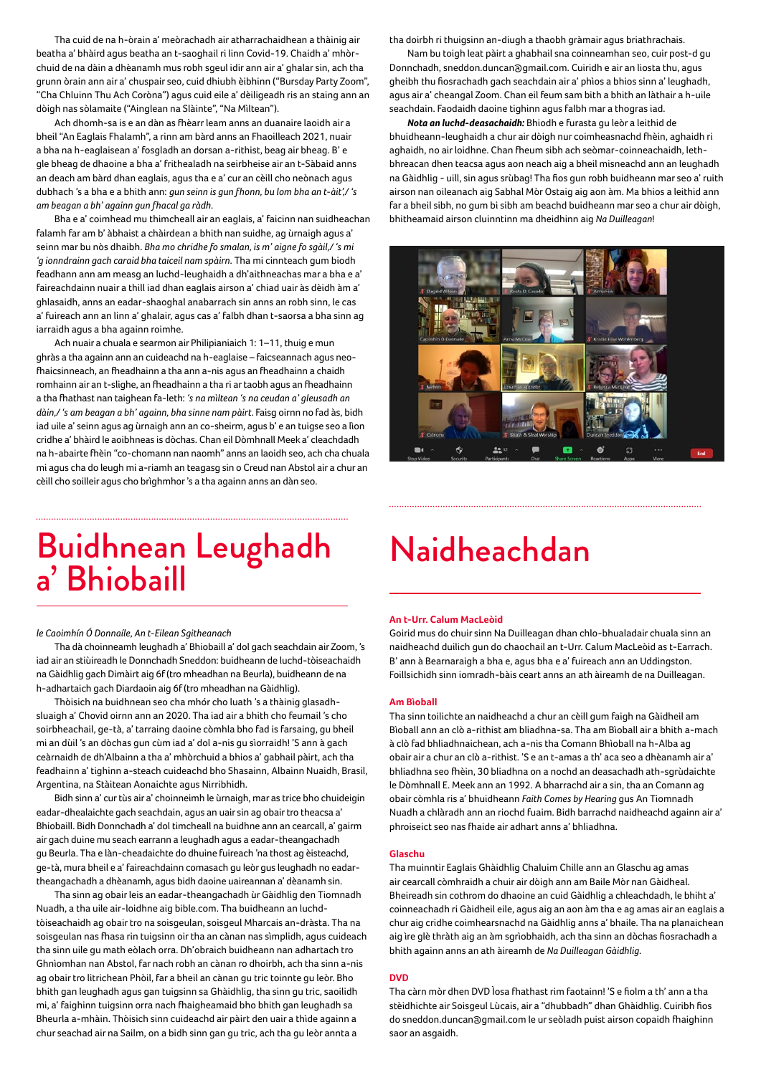Tha cuid de na h-òrain a' meòrachadh air atharrachaidhean a thàinig air beatha a' bhàird agus beatha an t-saoghail ri linn Covid-19. Chaidh a' mhòrchuid de na dàin a dhèanamh mus robh sgeul idir ann air a' ghalar sin, ach tha grunn òrain ann air a' chuspair seo, cuid dhiubh èibhinn ("Bursday Party Zoom", "Cha Chluinn Thu Ach Coròna") agus cuid eile a' dèiligeadh ris an staing ann an dòigh nas sòlamaite ("Ainglean na Slàinte", "Na Mìltean").

Ach dhomh-sa is e an dàn as fhèarr leam anns an duanaire laoidh air a bheil "An Eaglais Fhalamh", a rinn am bàrd anns an Fhaoilleach 2021, nuair a bha na h-eaglaisean a' fosgladh an dorsan a-rithist, beag air bheag. B' e gle bheag de dhaoine a bha a' frithealadh na seirbheise air an t-Sàbaid anns an deach am bàrd dhan eaglais, agus tha e a' cur an cèill cho neònach agus dubhach 's a bha e a bhith ann: *gun seinn is gun fhonn, bu lom bha an t-àit',/ 's am beagan a bh' againn gun fhacal ga ràdh*.

Bha e a' coimhead mu thimcheall air an eaglais, a' faicinn nan suidheachan falamh far am b' àbhaist a chàirdean a bhith nan suidhe, ag ùrnaigh agus a' seinn mar bu nòs dhaibh. *Bha mo chridhe fo smalan, is m' aigne fo sgàil,/ 's mi 'g ionndrainn gach caraid bha taiceil nam spàirn*. Tha mi cinnteach gum biodh feadhann ann am measg an luchd-leughaidh a dh'aithneachas mar a bha e a' faireachdainn nuair a thill iad dhan eaglais airson a' chiad uair às dèidh àm a' ghlasaidh, anns an eadar-shaoghal anabarrach sin anns an robh sinn, le cas a' fuireach ann an linn a' ghalair, agus cas a' falbh dhan t-saorsa a bha sinn ag iarraidh agus a bha againn roimhe.

Ach nuair a chuala e searmon air Philipianiaich 1: 1–11, thuig e mun ghràs a tha againn ann an cuideachd na h-eaglaise – faicseannach agus neofhaicsinneach, an fheadhainn a tha ann a-nis agus an fheadhainn a chaidh romhainn air an t-slighe, an fheadhainn a tha ri ar taobh agus an fheadhainn a tha fhathast nan taighean fa-leth: *'s na mìltean 's na ceudan a' gleusadh an dàin,/ 's am beagan a bh' againn, bha sinne nam pàirt*. Faisg oirnn no fad às, bidh iad uile a' seinn agus ag ùrnaigh ann an co-sheirm, agus b' e an tuigse seo a lìon cridhe a' bhàird le aoibhneas is dòchas. Chan eil Dòmhnall Meek a' cleachdadh na h-abairte fhèin "co-chomann nan naomh" anns an laoidh seo, ach cha chuala mi agus cha do leugh mi a-riamh an teagasg sin o Creud nan Abstol air a chur an cèill cho soilleir agus cho brìghmhor 's a tha againn anns an dàn seo.

### Buidhnean Leughadh Naidheachdan a' Bhiobaill

#### *le Caoimhín Ó Donnaíle, An t-Eilean Sgitheanach*

Tha dà choinneamh leughadh a' Bhiobaill a' dol gach seachdain air Zoom, 's iad air an stiùireadh le Donnchadh Sneddon: buidheann de luchd-tòiseachaidh na Gàidhlig gach Dimàirt aig 6f (tro mheadhan na Beurla), buidheann de na h-adhartaich gach Diardaoin aig 6f (tro mheadhan na Gàidhlig).

Thòisich na buidhnean seo cha mhór cho luath 's a thàinig glasadhsluaigh a' Chovid oirnn ann an 2020. Tha iad air a bhith cho feumail 's cho soirbheachail, ge-tà, a' tarraing daoine còmhla bho fad is farsaing, gu bheil mi an dùil 's an dòchas gun cùm iad a' dol a-nis gu sìorraidh! 'S ann à gach ceàrnaidh de dh'Albainn a tha a' mhòrchuid a bhios a' gabhail pàirt, ach tha feadhainn a' tighinn a-steach cuideachd bho Shasainn, Albainn Nuaidh, Brasil, Argentina, na Stàitean Aonaichte agus Nirribhidh.

Bidh sinn a' cur tùs air a' choinneimh le ùrnaigh, mar as trice bho chuideigin eadar-dhealaichte gach seachdain, agus an uair sin ag obair tro theacsa a' Bhiobaill. Bidh Donnchadh a' dol timcheall na buidhne ann an cearcall, a' gairm air gach duine mu seach earrann a leughadh agus a eadar-theangachadh gu Beurla. Tha e làn-cheadaichte do dhuine fuireach 'na thost ag èisteachd, ge-tà, mura bheil e a' faireachdainn comasach gu leòr gus leughadh no eadartheangachadh a dhèanamh, agus bidh daoine uaireannan a' dèanamh sin.

Tha sinn ag obair leis an eadar-theangachadh ùr Gàidhlig den Tiomnadh Nuadh, a tha uile air-loidhne aig bible.com. Tha buidheann an luchdtòiseachaidh ag obair tro na soisgeulan, soisgeul Mharcais an-dràsta. Tha na soisgeulan nas fhasa rin tuigsinn oir tha an cànan nas sìmplidh, agus cuideach tha sinn uile gu math eòlach orra. Dh'obraich buidheann nan adhartach tro Ghnìomhan nan Abstol, far nach robh an cànan ro dhoirbh, ach tha sinn a-nis ag obair tro litrichean Phòil, far a bheil an cànan gu tric toinnte gu leòr. Bho bhith gan leughadh agus gan tuigsinn sa Ghàidhlig, tha sinn gu tric, saoilidh mi, a' faighinn tuigsinn orra nach fhaigheamaid bho bhith gan leughadh sa Bheurla a-mhàin. Thòisich sinn cuideachd air pàirt den uair a thìde againn a chur seachad air na Sailm, on a bidh sinn gan gu tric, ach tha gu leòr annta a

tha doirbh ri thuigsinn an-diugh a thaobh gràmair agus briathrachais.

Nam bu toigh leat pàirt a ghabhail sna coinneamhan seo, cuir post-d gu Donnchadh, sneddon.duncan@gmail.com. Cuiridh e air an liosta thu, agus gheibh thu fiosrachadh gach seachdain air a' phìos a bhios sinn a' leughadh, agus air a' cheangal Zoom. Chan eil feum sam bith a bhith an làthair a h-uile seachdain. Faodaidh daoine tighinn agus falbh mar a thogras iad.

*Nota an luchd-deasachaidh:* Bhiodh e furasta gu leòr a leithid de bhuidheann-leughaidh a chur air dòigh nur coimheasnachd fhèin, aghaidh ri aghaidh, no air loidhne. Chan fheum sibh ach seòmar-coinneachaidh, lethbhreacan dhen teacsa agus aon neach aig a bheil misneachd ann an leughadh na Gàidhlig - uill, sin agus srùbag! Tha fios gun robh buidheann mar seo a' ruith airson nan oileanach aig Sabhal Mòr Ostaig aig aon àm. Ma bhios a leithid ann far a bheil sibh, no gum bi sibh am beachd buidheann mar seo a chur air dòigh, bhitheamaid airson cluinntinn ma dheidhinn aig *Na Duilleagan*!



### **An t-Urr. Calum MacLeòid**

Goirid mus do chuir sinn Na Duilleagan dhan chlo-bhualadair chuala sinn an naidheachd duilich gun do chaochail an t-Urr. Calum MacLeòid as t-Earrach. B' ann à Bearnaraigh a bha e, agus bha e a' fuireach ann an Uddingston. Foillsichidh sinn iomradh-bàis ceart anns an ath àireamh de na Duilleagan.

#### **Am Bìoball**

Tha sinn toilichte an naidheachd a chur an cèill gum faigh na Gàidheil am Bìoball ann an clò a-rithist am bliadhna-sa. Tha am Bìoball air a bhith a-mach à clò fad bhliadhnaichean, ach a-nis tha Comann Bhìoball na h-Alba ag obair air a chur an clò a-rithist. 'S e an t-amas a th' aca seo a dhèanamh air a' bhliadhna seo fhèin, 30 bliadhna on a nochd an deasachadh ath-sgrùdaichte le Dòmhnall E. Meek ann an 1992. A bharrachd air a sin, tha an Comann ag obair còmhla ris a' bhuidheann *Faith Comes by Hearing* gus An Tiomnadh Nuadh a chlàradh ann an riochd fuaim. Bidh barrachd naidheachd againn air a' phroiseict seo nas fhaide air adhart anns a' bhliadhna.

#### **Glaschu**

Tha muinntir Eaglais Ghàidhlig Chaluim Chille ann an Glaschu ag amas air cearcall còmhraidh a chuir air dòigh ann am Baile Mòr nan Gàidheal. Bheireadh sin cothrom do dhaoine an cuid Gàidhlig a chleachdadh, le bhiht a' coinneachadh ri Gàidheil eile, agus aig an aon àm tha e ag amas air an eaglais a chur aig cridhe coimhearsnachd na Gàidhlig anns a' bhaile. Tha na planaichean aig ìre glè thràth aig an àm sgrìobhaidh, ach tha sinn an dòchas fiosrachadh a bhith againn anns an ath àireamh de *Na Duilleagan Gàidhlig*.

### **DVD**

Tha càrn mòr dhen DVD Ìosa fhathast rim faotainn! 'S e fiolm a th' ann a tha stèidhichte air Soisgeul Lùcais, air a "dhubbadh" dhan Ghàidhlig. Cuiribh fios do sneddon.duncan@gmail.com le ur seòladh puist airson copaidh fhaighinn saor an asgaidh.